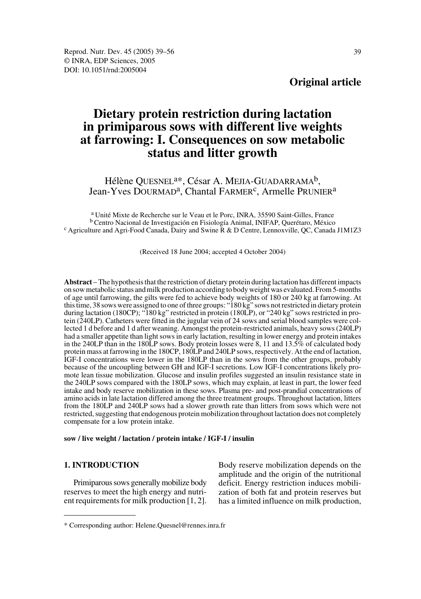## **Original article**

# **Dietary protein restriction during lactation in primiparous sows with different live weights at farrowing: I. Consequences on sow metabolic status and litter growth**

Hélène QUESNEL<sup>a\*</sup>, César A. MEJIA-GUADARRAMA<sup>b</sup>, Jean-Yves DOURMAD<sup>a</sup>, Chantal FARMER<sup>c</sup>, Armelle PRUNIER<sup>a</sup>

<sup>a</sup> Unité Mixte de Recherche sur le Veau et le Porc, INRA, 35590 Saint-Gilles, France b Centro Nacional de Investigación en Fisiología Animal, INIFAP, Querétaro, México  $\text{c}$  Agriculture and Agri-Food Canada, Dairy and Swine R & D Centre, Lennoxville, QC, Canada J1M1Z3

(Received 18 June 2004; accepted 4 October 2004)

**Abstract** – The hypothesis that the restriction of dietary protein during lactation has different impacts on sow metabolic status and milk production according to body weight was evaluated. From 5-months of age until farrowing, the gilts were fed to achieve body weights of 180 or 240 kg at farrowing. At this time, 38 sows were assigned to one of three groups: "180 kg" sows not restricted in dietary protein during lactation (180CP); "180 kg" restricted in protein (180LP), or "240 kg" sows restricted in protein (240LP). Catheters were fitted in the jugular vein of 24 sows and serial blood samples were collected 1 d before and 1 d after weaning. Amongst the protein-restricted animals, heavy sows (240LP) had a smaller appetite than light sows in early lactation, resulting in lower energy and protein intakes in the 240LP than in the 180LP sows. Body protein losses were 8, 11 and 13.5% of calculated body protein mass at farrowing in the 180CP, 180LP and 240LP sows, respectively. At the end of lactation, IGF-I concentrations were lower in the 180LP than in the sows from the other groups, probably because of the uncoupling between GH and IGF-I secretions. Low IGF-I concentrations likely promote lean tissue mobilization. Glucose and insulin profiles suggested an insulin resistance state in the 240LP sows compared with the 180LP sows, which may explain, at least in part, the lower feed intake and body reserve mobilization in these sows. Plasma pre- and post-prandial concentrations of amino acids in late lactation differed among the three treatment groups. Throughout lactation, litters from the 180LP and 240LP sows had a slower growth rate than litters from sows which were not restricted, suggesting that endogenous protein mobilization throughout lactation does not completely compensate for a low protein intake.

## **sow / live weight / lactation / protein intake / IGF-I / insulin**

## **1. INTRODUCTION**

Primiparous sows generally mobilize body reserves to meet the high energy and nutrient requirements for milk production [1, 2]. Body reserve mobilization depends on the amplitude and the origin of the nutritional deficit. Energy restriction induces mobilization of both fat and protein reserves but has a limited influence on milk production,

<sup>\*</sup> Corresponding author: Helene.Quesnel@rennes.inra.fr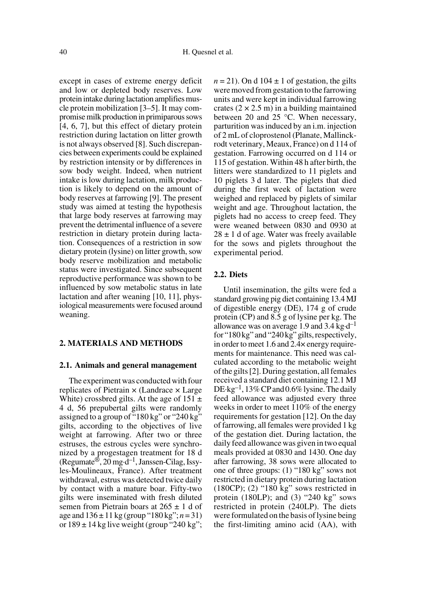except in cases of extreme energy deficit and low or depleted body reserves. Low protein intake during lactation amplifies muscle protein mobilization [3–5]. It may compromise milk production in primiparous sows [4, 6, 7], but this effect of dietary protein restriction during lactation on litter growth is not always observed [8]. Such discrepancies between experiments could be explained by restriction intensity or by differences in sow body weight. Indeed, when nutrient intake is low during lactation, milk production is likely to depend on the amount of body reserves at farrowing [9]. The present study was aimed at testing the hypothesis that large body reserves at farrowing may prevent the detrimental influence of a severe restriction in dietary protein during lactation. Consequences of a restriction in sow dietary protein (lysine) on litter growth, sow body reserve mobilization and metabolic status were investigated. Since subsequent reproductive performance was shown to be influenced by sow metabolic status in late lactation and after weaning [10, 11], physiological measurements were focused around weaning.

## **2. MATERIALS AND METHODS**

## **2.1. Animals and general management**

The experiment was conducted with four replicates of Pietrain  $\times$  (Landrace  $\times$  Large White) crossbred gilts. At the age of  $151 \pm$ 4 d, 56 prepubertal gilts were randomly assigned to a group of "180 kg" or "240 kg" gilts, according to the objectives of live weight at farrowing. After two or three estruses, the estrous cycles were synchronized by a progestagen treatment for 18 d (Regumate<sup>®</sup>, 20 mg·d<sup>-1</sup>, Janssen-Cilag, Issyles-Moulineaux, France). After treatment withdrawal, estrus was detected twice daily by contact with a mature boar. Fifty-two gilts were inseminated with fresh diluted semen from Pietrain boars at  $265 \pm 1$  d of age and 136 ± 11 kg (group "180 kg"; *n* = 31) or  $189 \pm 14$  kg live weight (group "240 kg";

 $n = 21$ ). On d 104  $\pm$  1 of gestation, the gilts were moved from gestation to the farrowing units and were kept in individual farrowing crates  $(2 \times 2.5 \text{ m})$  in a building maintained between 20 and 25 °C. When necessary, parturition was induced by an i.m. injection of 2 mL of cloprostenol (Planate, Mallinckrodt veterinary, Meaux, France) on d 114 of gestation. Farrowing occurred on d 114 or 115 of gestation. Within 48 h after birth, the litters were standardized to 11 piglets and 10 piglets 3 d later. The piglets that died during the first week of lactation were weighed and replaced by piglets of similar weight and age. Throughout lactation, the piglets had no access to creep feed. They were weaned between 0830 and 0930 at  $28 \pm 1$  d of age. Water was freely available for the sows and piglets throughout the experimental period.

## **2.2. Diets**

Until insemination, the gilts were fed a standard growing pig diet containing 13.4 MJ of digestible energy (DE), 174 g of crude protein (CP) and 8.5 g of lysine per kg. The allowance was on average 1.9 and 3.4 kg $-d^{-1}$ for "180 kg" and "240 kg" gilts, respectively, in order to meet 1.6 and 2.4× energy requirements for maintenance. This need was calculated according to the metabolic weight of the gilts [2]. During gestation, all females received a standard diet containing 12.1 MJ DE·kg<sup>-1</sup>, 13% CP and 0.6% lysine. The daily feed allowance was adjusted every three weeks in order to meet 110% of the energy requirements for gestation [12]. On the day of farrowing, all females were provided 1 kg of the gestation diet. During lactation, the daily feed allowance was given in two equal meals provided at 0830 and 1430. One day after farrowing, 38 sows were allocated to one of three groups: (1) "180 kg" sows not restricted in dietary protein during lactation (180CP); (2) "180 kg" sows restricted in protein  $(180LP)$ ; and  $(3)$  "240 kg" sows restricted in protein (240LP). The diets were formulated on the basis of lysine being the first-limiting amino acid (AA), with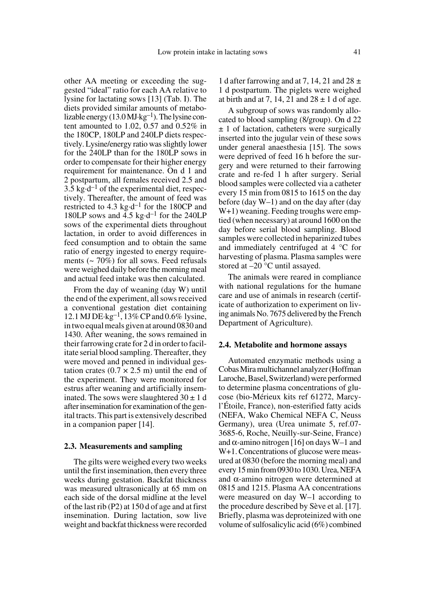other AA meeting or exceeding the suggested "ideal" ratio for each AA relative to lysine for lactating sows [13] (Tab. I). The diets provided similar amounts of metabolizable energy  $(13.0 \,\mathrm{MJ·kg^{-1}})$ . The lysine content amounted to 1.02, 0.57 and 0.52% in the 180CP, 180LP and 240LP diets respectively. Lysine/energy ratio was slightly lower for the 240LP than for the 180LP sows in order to compensate for their higher energy requirement for maintenance. On d 1 and 2 postpartum, all females received 2.5 and  $3.5 \text{ kg} \cdot d^{-1}$  of the experimental diet, respectively. Thereafter, the amount of feed was restricted to 4.3 kg·d<sup>-1</sup> for the 180CP and 180LP sows and  $\overline{4.5}$  kg·d<sup>-1</sup> for the 240LP sows of the experimental diets throughout lactation, in order to avoid differences in feed consumption and to obtain the same ratio of energy ingested to energy requirements  $($   $\sim$  70%) for all sows. Feed refusals were weighed daily before the morning meal and actual feed intake was then calculated.

From the day of weaning (day W) until the end of the experiment, all sows received a conventional gestation diet containing 12.1 MJ DE·kg<sup>-1</sup>, 13% CP and 0.6% lysine, in two equal meals given at around 0830 and 1430. After weaning, the sows remained in their farrowing crate for 2 d in order to facilitate serial blood sampling. Thereafter, they were moved and penned in individual gestation crates  $(0.7 \times 2.5 \text{ m})$  until the end of the experiment. They were monitored for estrus after weaning and artificially inseminated. The sows were slaughtered  $30 \pm 1$  d after insemination for examination of the genital tracts. This part is extensively described in a companion paper [14].

## **2.3. Measurements and sampling**

The gilts were weighed every two weeks until the first insemination, then every three weeks during gestation. Backfat thickness was measured ultrasonically at 65 mm on each side of the dorsal midline at the level of the last rib (P2) at 150 d of age and at first insemination. During lactation, sow live weight and backfat thickness were recorded

1 d after farrowing and at 7, 14, 21 and 28  $\pm$ 1 d postpartum. The piglets were weighed at birth and at 7, 14, 21 and  $28 \pm 1$  d of age.

A subgroup of sows was randomly allocated to blood sampling (8/group). On d 22 ± 1 of lactation, catheters were surgically inserted into the jugular vein of these sows under general anaesthesia [15]. The sows were deprived of feed 16 h before the surgery and were returned to their farrowing crate and re-fed 1 h after surgery. Serial blood samples were collected via a catheter every 15 min from 0815 to 1615 on the day before (day W–1) and on the day after (day W+1) weaning. Feeding troughs were emptied (when necessary) at around 1600 on the day before serial blood sampling. Blood samples were collected in heparinized tubes and immediately centrifuged at 4 °C for harvesting of plasma. Plasma samples were stored at –20 °C until assayed.

The animals were reared in compliance with national regulations for the humane care and use of animals in research (certificate of authorization to experiment on living animals No. 7675 delivered by the French Department of Agriculture).

#### **2.4. Metabolite and hormone assays**

Automated enzymatic methods using a Cobas Mira multichannel analyzer (Hoffman Laroche, Basel, Switzerland) were performed to determine plasma concentrations of glucose (bio-Mérieux kits ref 61272, Marcyl'Étoile, France), non-esterified fatty acids (NEFA, Wako Chemical NEFA C, Neuss Germany), urea (Urea unimate 5, ref.07- 3685-6, Roche, Neuilly-sur-Seine, France) and  $\alpha$ -amino nitrogen [16] on days W–1 and W+1.Concentrations of glucose were measured at 0830 (before the morning meal) and every 15 min from 0930 to 1030. Urea, NEFA and α-amino nitrogen were determined at 0815 and 1215. Plasma AA concentrations were measured on day W–1 according to the procedure described by Sève et al. [17]. Briefly, plasma was deproteinized with one volume of sulfosalicylic acid (6%) combined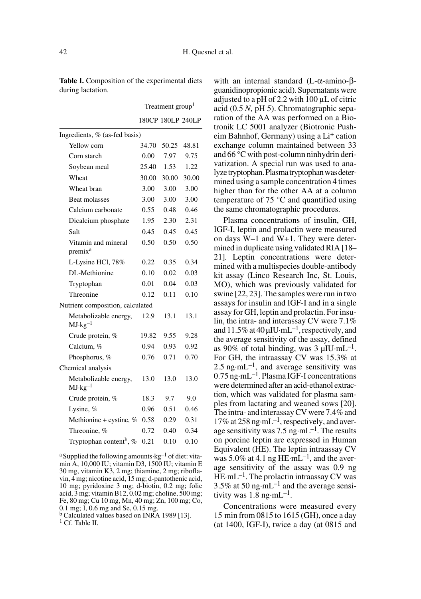|                                             | Treatment group <sup>1</sup> |                   |       |  |  |  |
|---------------------------------------------|------------------------------|-------------------|-------|--|--|--|
|                                             |                              | 180CP 180LP 240LP |       |  |  |  |
| Ingredients, % (as-fed basis)               |                              |                   |       |  |  |  |
| Yellow corn                                 | 34.70                        | 50.25             | 48.81 |  |  |  |
| Corn starch                                 | 0.00                         | 7.97              | 9.75  |  |  |  |
| Soybean meal                                | 25.40                        | 1.53              | 1.22  |  |  |  |
| Wheat                                       | 30.00                        | 30.00             | 30.00 |  |  |  |
| Wheat bran                                  | 3.00                         | 3.00              | 3.00  |  |  |  |
| <b>Beat molasses</b>                        | 3.00                         | 3.00              | 3.00  |  |  |  |
| Calcium carbonate                           | 0.55                         | 0.48              | 0.46  |  |  |  |
| Dicalcium phosphate                         | 1.95                         | 2.30              | 2.31  |  |  |  |
| Salt                                        | 0.45                         | 0.45              | 0.45  |  |  |  |
| Vitamin and mineral<br>premix <sup>a</sup>  | 0.50                         | 0.50              | 0.50  |  |  |  |
| L-Lysine HCl, 78%                           | 0.22                         | 0.35              | 0.34  |  |  |  |
| DL-Methionine                               | 0.10                         | 0.02              | 0.03  |  |  |  |
| Tryptophan                                  | 0.01                         | 0.04              | 0.03  |  |  |  |
| Threonine                                   | 0.12                         | 0.11              | 0.10  |  |  |  |
| Nutrient composition, calculated            |                              |                   |       |  |  |  |
| Metabolizable energy,<br>$MJ \cdot kg^{-1}$ | 12.9                         | 13.1              | 13.1  |  |  |  |
| Crude protein, %                            | 19.82                        | 9.55              | 9.28  |  |  |  |
| Calcium, %                                  | 0.94                         | 0.93              | 0.92  |  |  |  |
| Phosphorus, %                               | 0.76                         | 0.71              | 0.70  |  |  |  |
| Chemical analysis                           |                              |                   |       |  |  |  |
| Metabolizable energy,<br>$MJ \cdot kg^{-1}$ | 13.0                         | 13.0              | 13.0  |  |  |  |
| Crude protein, %                            | 18.3                         | 9.7               | 9.0   |  |  |  |
| Lysine, $%$                                 | 0.96                         | 0.51              | 0.46  |  |  |  |
| Methionine + cystine, $%$                   | 0.58                         | 0.29              | 0.31  |  |  |  |
| Threonine. %                                | 0.72                         | 0.40              | 0.34  |  |  |  |
| Tryptophan content <sup>b</sup> , %         | 0.21                         | 0.10              | 0.10  |  |  |  |

Table I. Composition of the experimental diets during lactation.

<sup>a</sup> Supplied the following amounts $\cdot$ kg<sup>-1</sup> of diet: vitamin A, 10,000 IU; vitamin D3, 1500 IU; vitamin E 30 mg, vitamin K3, 2 mg; thiamine, 2 mg; riboflavin, 4 mg; nicotine acid, 15 mg; d-pantothenic acid, 10 mg; pyridoxine 3 mg; d-biotin, 0.2 mg; folic acid,  $3 \text{ mg}$ ; vitamin B12,  $0.02 \text{ mg}$ ; choline,  $500 \text{ mg}$ ; Fe, 80 mg; Cu 10 mg, Mn, 40 mg; Zn, 100 mg; Co, 0.1 mg; I, 0.6 mg and Se, 0.15 mg.

b Calculated values based on INRA 1989 [13].

<sup>1</sup> Cf. Table II.

with an internal standard (L-α-amino-βguanidinopropionic acid). Supernatants were adjusted to a pH of 2.2 with 100 µL of citric acid (0.5 *N,* pH 5). Chromatographic separation of the AA was performed on a Biotronik LC 5001 analyzer (Biotronic Pusheim Bahnhof, Germany) using a Li+ cation exchange column maintained between 33 and 66 °C with post-column ninhydrin derivatization. A special run was used to analyze tryptophan. Plasma tryptophan was determined using a sample concentration 4 times higher than for the other AA at a column temperature of 75 °C and quantified using the same chromatographic procedures.

Plasma concentrations of insulin, GH, IGF-I, leptin and prolactin were measured on days W–1 and W+1. They were determined in duplicate using validated RIA [18– 21]*.* Leptin concentrations were determined with a multispecies double-antibody kit assay (Linco Research Inc, St. Louis, MO), which was previously validated for swine [22, 23]. The samples were run in two assays for insulin and IGF-I and in a single assay for GH, leptin and prolactin. For insulin, the intra- and interassay CV were 7.1% and  $11.5\%$  at  $40 \mu$ IU·mL<sup>-1</sup>, respectively, and the average sensitivity of the assay, defined as 90% of total binding, was  $3 \mu$ IU·mL<sup>-1</sup>. For GH, the intraassay CV was 15.3% at  $2.5$  ng $\cdot$ mL<sup>-1</sup>, and average sensitivity was  $0.75$  ng·mL<sup>-1</sup>. Plasma IGF-I concentrations were determined after an acid-ethanol extraction, which was validated for plasma samples from lactating and weaned sows [20]. The intra- and interassay CV were 7.4% and 17% at 258 ng·mL–1, respectively, and average sensitivity was  $7.5 \text{ ng} \cdot \text{m} \text{L}^{-1}$ . The results on porcine leptin are expressed in Human Equivalent (HE). The leptin intraassay CV was  $5.0\%$  at 4.1 ng HE·mL<sup>-1</sup>, and the average sensitivity of the assay was 0.9 ng  $HE\cdot mL^{-1}$ . The prolactin intraassay CV was 3.5% at 50 ng·mL<sup>-1</sup> and the average sensitivity was  $1.8 \text{ ng} \cdot \text{m} \text{L}^{-1}$ .

Concentrations were measured every 15 min from 0815 to 1615 (GH), once a day (at 1400, IGF-I), twice a day (at 0815 and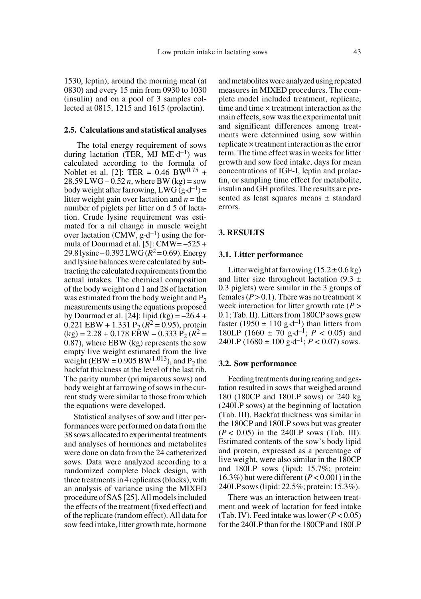1530, leptin), around the morning meal (at 0830) and every 15 min from 0930 to 1030 (insulin) and on a pool of 3 samples collected at 0815, 1215 and 1615 (prolactin).

#### **2.5. Calculations and statistical analyses**

 The total energy requirement of sows during lactation (TER, MJ ME $\cdot$ d<sup>-1</sup>) was calculated according to the formula of Noblet et al. [2]: TER =  $0.46$  BW $^{0.75}$  + 28.59 LWG –  $0.52 n$ , where BW (kg) = sow body weight after farrowing, LWG  $(g \cdot d^{-1})$  = litter weight gain over lactation and  $n =$  the number of piglets per litter on d 5 of lactation. Crude lysine requirement was estimated for a nil change in muscle weight over lactation (CMW,  $g \cdot d^{-1}$ ) using the formula of Dourmad et al. [5]: CMW= –525 + 29.8 lysine –  $0.392$  LWG ( $R^2$  = 0.69). Energy and lysine balances were calculated by subtracting the calculated requirements from the actual intakes. The chemical composition of the body weight on d 1 and 28 of lactation was estimated from the body weight and  $P_2$ measurements using the equations proposed by Dourmad et al. [24]: lipid  $(kg) = -26.4 +$  $0.221$  EBW + 1.331 P<sub>2</sub> ( $\overline{R}^2$  = 0.95), protein  $(kg) = 2.28 + 0.178$  EBW – 0.333 P<sub>2</sub> ( $R^2$  = 0.87), where EBW (kg) represents the sow empty live weight estimated from the live weight (EBW =  $0.905$  BW<sup>1.013</sup>), and P<sub>2</sub> the backfat thickness at the level of the last rib. The parity number (primiparous sows) and body weight at farrowing of sows in the current study were similar to those from which the equations were developed.

Statistical analyses of sow and litter performances were performed on data from the 38 sows allocated to experimental treatments and analyses of hormones and metabolites were done on data from the 24 catheterized sows. Data were analyzed according to a randomized complete block design, with three treatments in 4 replicates (blocks), with an analysis of variance using the MIXED procedure of SAS [25]. All models included the effects of the treatment (fixed effect) and of the replicate (random effect). All data for sow feed intake, litter growth rate, hormone

and metabolites were analyzed using repeated measures in MIXED procedures. The complete model included treatment, replicate, time and time × treatment interaction as the main effects, sow was the experimental unit and significant differences among treatments were determined using sow within replicate × treatment interaction as the error term. The time effect was in weeks for litter growth and sow feed intake, days for mean concentrations of IGF-I, leptin and prolactin, or sampling time effect for metabolite, insulin and GH profiles. The results are presented as least squares means ± standard errors.

## **3. RESULTS**

#### **3.1. Litter performance**

Litter weight at farrowing  $(15.2 \pm 0.6 \text{ kg})$ and litter size throughout lactation  $(9.3 \pm 1)$ 0.3 piglets) were similar in the 3 groups of females  $(P > 0.1)$ . There was no treatment  $\times$ week interaction for litter growth rate (*P* > 0.1; Tab. II). Litters from 180CP sows grew faster (1950  $\pm$  110 g·d<sup>-1</sup>) than litters from 180LP (1660  $\pm$  70 g·d<sup>-1</sup>; *P* < 0.05) and 240LP (1680  $\pm$  100 g·d<sup>-1</sup>;  $P < 0.07$ ) sows.

#### **3.2. Sow performance**

Feeding treatments during rearing and gestation resulted in sows that weighed around 180 (180CP and 180LP sows) or 240 kg (240LP sows) at the beginning of lactation (Tab. III). Backfat thickness was similar in the 180CP and 180LP sows but was greater  $(P < 0.05)$  in the 240LP sows (Tab. III). Estimated contents of the sow's body lipid and protein, expressed as a percentage of live weight, were also similar in the 180CP and 180LP sows (lipid: 15.7%; protein: 16.3%) but were different (*P* < 0.001) in the 240LP sows (lipid: 22.5%; protein: 15.3%).

There was an interaction between treatment and week of lactation for feed intake (Tab. IV). Feed intake was lower (*P* < 0.05) for the 240LP than for the 180CP and 180LP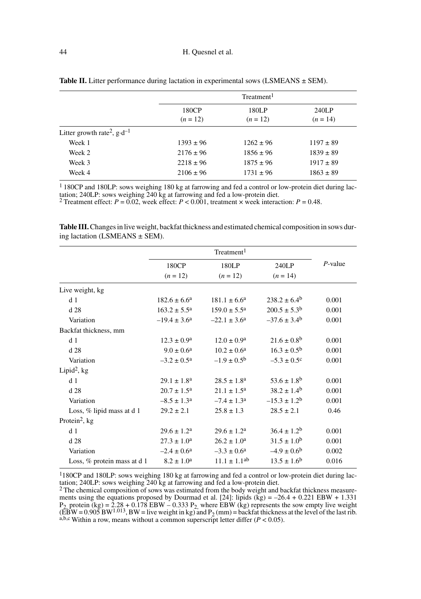|                                                    |                     | Treatment <sup>1</sup> |                     |  |  |  |  |
|----------------------------------------------------|---------------------|------------------------|---------------------|--|--|--|--|
|                                                    | 180CP<br>$(n = 12)$ | 180LP<br>$(n = 12)$    | 240LP<br>$(n = 14)$ |  |  |  |  |
| Litter growth rate <sup>2</sup> , $g \cdot d^{-1}$ |                     |                        |                     |  |  |  |  |
| Week 1                                             | $1393 \pm 96$       | $1262 \pm 96$          | $1197 \pm 89$       |  |  |  |  |
| Week 2                                             | $2176 \pm 96$       | $1856 \pm 96$          | $1839 \pm 89$       |  |  |  |  |
| Week 3                                             | $2218 \pm 96$       | $1875 \pm 96$          | $1917 \pm 89$       |  |  |  |  |
| Week 4                                             | $2106 \pm 96$       | $1731 \pm 96$          | $1863 \pm 89$       |  |  |  |  |

|  |  |  |  |  |  | <b>Table II.</b> Litter performance during lactation in experimental sows (LSMEANS $\pm$ SEM). |  |  |  |  |
|--|--|--|--|--|--|------------------------------------------------------------------------------------------------|--|--|--|--|
|  |  |  |  |  |  |                                                                                                |  |  |  |  |

1 180CP and 180LP: sows weighing 180 kg at farrowing and fed a control or low-protein diet during lactation; 240LP: sows weighing 240 kg at farrowing and fed a low-protein diet. <sup>2</sup> Treatment effect: *P* = 0.02, week effect: *P* < 0.001, treatment × week interaction: *P* = 0.48.

**Table III.** Changes in live weight, backfat thickness and estimated chemical composition in sows during lactation (LSMEANS ± SEM).

|                             |                           | Treatment <sup>1</sup>     |                             |            |
|-----------------------------|---------------------------|----------------------------|-----------------------------|------------|
|                             | 180CP                     | 180LP                      | 240LP                       | $P$ -value |
|                             | $(n = 12)$                | $(n = 12)$                 | $(n = 14)$                  |            |
| Live weight, kg             |                           |                            |                             |            |
| d <sub>1</sub>              | $182.6 \pm 6.6^a$         | $181.1 \pm 6.6^a$          | $238.2 \pm 6.4^{\rm b}$     | 0.001      |
| d 28                        | $163.2 \pm 5.5^{\rm a}$   | $159.0 \pm 5.5^{\text{a}}$ | $200.5 \pm 5.3^{\rm b}$     | 0.001      |
| Variation                   | $-19.4 \pm 3.6^{\circ}$   | $-22.1 \pm 3.6^{\circ}$    | $-37.6 \pm 3.4^{\rm b}$     | 0.001      |
| Backfat thickness, mm       |                           |                            |                             |            |
| d <sub>1</sub>              | $12.3 \pm 0.9^{\rm a}$    | $12.0 \pm 0.9^{\rm a}$     | $21.6 \pm 0.8$ <sup>b</sup> | 0.001      |
| d <sub>28</sub>             | $9.0 \pm 0.6^{\text{a}}$  | $10.2 \pm 0.6^{\circ}$     | $16.3 \pm 0.5^{\rm b}$      | 0.001      |
| Variation                   | $-3.2 \pm 0.5^{\text{a}}$ | $-1.9 \pm 0.5^{\rm b}$     | $-5.3 \pm 0.5^{\circ}$      | 0.001      |
| Lipid <sup>2</sup> , $kg$   |                           |                            |                             |            |
| d <sub>1</sub>              | $29.1 \pm 1.8^{\text{a}}$ | $28.5 \pm 1.8^{\rm a}$     | $53.6 \pm 1.8^{\rm b}$      | 0.001      |
| d <sub>28</sub>             | $20.7 \pm 1.5^{\text{a}}$ | $21.1 \pm 1.5^{\text{a}}$  | $38.2 \pm 1.4^{\rm b}$      | 0.001      |
| Variation                   | $-8.5 \pm 1.3^{\rm a}$    | $-7.4 \pm 1.3^{\circ}$     | $-15.3 \pm 1.2^{\rm b}$     | 0.001      |
| Loss, % lipid mass at d 1   | $29.2 \pm 2.1$            | $25.8 \pm 1.3$             | $28.5 \pm 2.1$              | 0.46       |
| Protein <sup>2</sup> , $kg$ |                           |                            |                             |            |
| d <sub>1</sub>              | $29.6 \pm 1.2^a$          | $29.6 \pm 1.2^a$           | $36.4 \pm 1.2^b$            | 0.001      |
| d <sub>28</sub>             | $27.3 \pm 1.0^{\rm a}$    | $26.2 \pm 1.0^a$           | $31.5 \pm 1.0^{\rm b}$      | 0.001      |
| Variation                   | $-2.4 \pm 0.6^{\circ}$    | $-3.3 \pm 0.6^{\circ}$     | $-4.9 \pm 0.6^{\circ}$      | 0.002      |
| Loss, % protein mass at d 1 | $8.2 \pm 1.0^{\circ}$     | $11.1 \pm 1.1^{ab}$        | $13.5 \pm 1.6^{\rm b}$      | 0.016      |

1180CP and 180LP: sows weighing 180 kg at farrowing and fed a control or low-protein diet during lactation; 240LP: sows weighing 240 kg at farrowing and fed a low-protein diet.<br><sup>2</sup> The chemical composition of sows was estimated from the body weight and backfat thickness measure-

ments using the equations proposed by Dourmad et al. [24]: lipids  $(kg) = -26.4 + 0.221$  EBW + 1.331  $P_2$  protein (kg) = 2.28 + 0.178 EBW – 0.333  $P_2$ , where EBW (kg) represents the sow empty live weight (EBW = 0.905 BW<sup>1.013</sup>, BW = live weight in kg) and  $P_2$  (mm) = backfat thickness at the level of the last rib. a,b,c Within a row, means without a common superscript letter differ  $(P < 0.05)$ .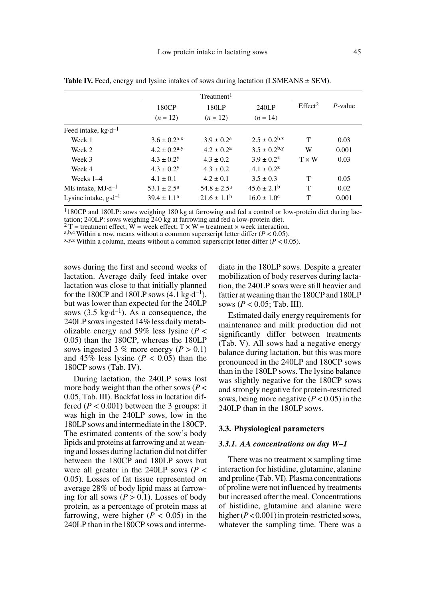|                                 | 180CP                        | 180LP                    | 240LP                        | Effect <sup>2</sup> | $P$ -value |
|---------------------------------|------------------------------|--------------------------|------------------------------|---------------------|------------|
|                                 | $(n = 12)$                   | $(n = 12)$               | $(n = 14)$                   |                     |            |
| Feed intake, $kg \cdot d^{-1}$  |                              |                          |                              |                     |            |
| Week 1                          | $3.6 \pm 0.2$ <sup>a.x</sup> | $3.9 \pm 0.2^{\circ}$    | $2.5 \pm 0.2$ <sup>b.x</sup> | T                   | 0.03       |
| Week 2                          | $4.2 \pm 0.2$ <sup>a.y</sup> | $4.2 \pm 0.2^{\text{a}}$ | $3.5 \pm 0.2$ <sup>b.y</sup> | W                   | 0.001      |
| Week 3                          | $4.3 \pm 0.2$                | $4.3 \pm 0.2$            | $3.9 \pm 0.2$ <sup>z</sup>   | $T \times W$        | 0.03       |
| Week 4                          | $4.3 \pm 0.2$ <sup>y</sup>   | $4.3 \pm 0.2$            | $4.1 \pm 0.2^z$              |                     |            |
| Weeks 1-4                       | $4.1 \pm 0.1$                | $4.2 \pm 0.1$            | $3.5 \pm 0.3$                | T                   | 0.05       |
| $ME$ intake, $MJ \cdot d^{-1}$  | $53.1 \pm 2.5^{\circ}$       | $54.8 \pm 2.5^{\circ}$   | $45.6 \pm 2.1^{\rm b}$       | T                   | 0.02       |
| Lysine intake, $g \cdot d^{-1}$ | $39.4 \pm 1.1^a$             | $21.6 \pm 1.1^b$         | $16.0 \pm 1.0^{\circ}$       | T                   | 0.001      |

Table IV. Feed, energy and lysine intakes of sows during lactation (LSMEANS  $\pm$  SEM).

<sup>1</sup>180CP and 180LP: sows weighing 180 kg at farrowing and fed a control or low-protein diet during lac-<br>tation; 240LP: sows weighing 240 kg at farrowing and fed a low-protein diet.

 $2T = \text{treatment effect}; W = \text{week effect}; T \times W = \text{treatment} \times \text{week interaction}.$ 

a,b,c Within a row, means without a common superscript letter differ (*P* < 0.05).

 $x, y, z$  Within a column, means without a common superscript letter differ ( $P < 0.05$ ).

sows during the first and second weeks of lactation. Average daily feed intake over lactation was close to that initially planned for the 180CP and 180LP sows  $(4.1 \text{ kg} \cdot d^{-1})$ , but was lower than expected for the 240LP sows  $(3.5 \text{ kg} \cdot d^{-1})$ . As a consequence, the 240LP sows ingested 14% less daily metabolizable energy and 59% less lysine (*P* < 0.05) than the 180CP, whereas the 180LP sows ingested 3 % more energy  $(P > 0.1)$ and  $45\%$  less lysine ( $P < 0.05$ ) than the 180CP sows (Tab. IV).

During lactation, the 240LP sows lost more body weight than the other sows (*P* < 0.05, Tab. III). Backfat loss in lactation differed  $(P < 0.001)$  between the 3 groups: it was high in the 240LP sows, low in the 180LP sows and intermediate in the 180CP. The estimated contents of the sow's body lipids and proteins at farrowing and at weaning and losses during lactation did not differ between the 180CP and 180LP sows but were all greater in the 240LP sows (*P* < 0.05). Losses of fat tissue represented on average 28% of body lipid mass at farrowing for all sows  $(P > 0.1)$ . Losses of body protein, as a percentage of protein mass at farrowing, were higher  $(P < 0.05)$  in the 240LP than in the180CP sows and intermediate in the 180LP sows. Despite a greater mobilization of body reserves during lactation, the 240LP sows were still heavier and fattier at weaning than the 180CP and 180LP sows (*P* < 0.05; Tab. III).

Estimated daily energy requirements for maintenance and milk production did not significantly differ between treatments (Tab. V). All sows had a negative energy balance during lactation, but this was more pronounced in the 240LP and 180CP sows than in the 180LP sows. The lysine balance was slightly negative for the 180CP sows and strongly negative for protein-restricted sows, being more negative  $(P < 0.05)$  in the 240LP than in the 180LP sows.

## **3.3. Physiological parameters**

## *3.3.1. AA concentrations on day W–1*

There was no treatment  $\times$  sampling time interaction for histidine, glutamine, alanine and proline (Tab. VI). Plasma concentrations of proline were not influenced by treatments but increased after the meal. Concentrations of histidine, glutamine and alanine were higher (*P* < 0.001) in protein-restricted sows, whatever the sampling time. There was a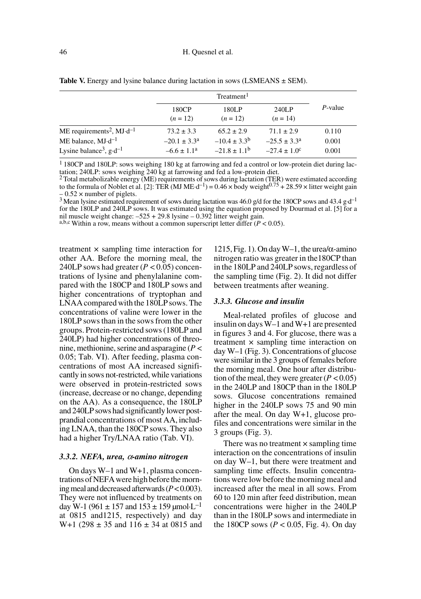|                                                                                 |                                             | Treatment <sup>1</sup>                                  |                                                    |                |  |  |  |  |
|---------------------------------------------------------------------------------|---------------------------------------------|---------------------------------------------------------|----------------------------------------------------|----------------|--|--|--|--|
|                                                                                 | 180CP<br>$(n = 12)$                         | 180LP<br>$(n = 12)$                                     | 240LP<br>$(n = 14)$                                | $P$ -value     |  |  |  |  |
| ME requirements <sup>2</sup> , MJ $\cdot$ d <sup>-1</sup>                       | $73.2 \pm 3.3$                              | $65.2 \pm 2.9$                                          | $71.1 \pm 2.9$                                     | 0.110          |  |  |  |  |
| ME balance, $MJ \cdot d^{-1}$<br>Lysine balance <sup>3</sup> , $g \cdot d^{-1}$ | $-20.1 \pm 3.3^{\circ}$<br>$-6.6 \pm 1.1^a$ | $-10.4 \pm 3.3^{\rm b}$<br>$-21.8 \pm 1.1$ <sup>b</sup> | $-25.5 \pm 3.3^{\circ}$<br>$-27.4 \pm 1.0^{\circ}$ | 0.001<br>0.001 |  |  |  |  |

**Table V.** Energy and lysine balance during lactation in sows (LSMEANS  $\pm$  SEM).

1 180CP and 180LP: sows weighing 180 kg at farrowing and fed a control or low-protein diet during lac-

tation; 240LP: sows weighing 240 kg at farrowing and fed a low-protein diet.<br><sup>2</sup> Total metabolizable energy (ME) requirements of sows during lactation (TER) were estimated according to the formula of Noblet et al. [2]: TER (MJ ME·d<sup>-1</sup>) = 0.46  $\times$  body weight<sup>0.75</sup> + 28.59  $\times$  litter weight gain  $-0.52 \times$  number of piglets.

<sup>3</sup> Mean lysine estimated requirement of sows during lactation was 46.0 g/d for the 180CP sows and 43.4 g·d<sup>-1</sup> for the 180LP and 240LP sows. It was estimated using the equation proposed by Dourmad et al. [5] for a nil muscle weight change:  $-525 + 29.8$  lysine  $-0.392$  litter weight gain.

a,b,c Within a row, means without a common superscript letter differ  $(P < 0.05)$ .

treatment × sampling time interaction for other AA. Before the morning meal, the 240LP sows had greater  $(P < 0.05)$  concentrations of lysine and phenylalanine compared with the 180CP and 180LP sows and higher concentrations of tryptophan and LNAA compared with the 180LP sows. The concentrations of valine were lower in the 180LP sows than in the sows from the other groups. Protein-restricted sows (180LP and 240LP) had higher concentrations of threonine, methionine, serine and asparagine (*P* < 0.05; Tab. VI). After feeding, plasma concentrations of most AA increased significantly in sows not-restricted, while variations were observed in protein-restricted sows (increase, decrease or no change, depending on the AA). As a consequence, the 180LP and 240LP sows had significantly lower postprandial concentrations of most AA, including LNAA, than the 180CP sows. They also had a higher Try/LNAA ratio (Tab. VI).

#### *3.3.2. NEFA, urea,* α*-amino nitrogen*

On days W–1 and W+1, plasma concentrations of NEFA were high before the morning meal and decreased afterwards (*P* < 0.003). They were not influenced by treatments on day W-1 (961  $\pm$  157 and 153  $\pm$  159 µmol·L<sup>-1</sup> at 0815 and1215, respectively) and day W+1 (298  $\pm$  35 and 116  $\pm$  34 at 0815 and

1215, Fig. 1). On day W-1, the urea/ $\alpha$ -amino nitrogen ratio was greater in the180CP than in the 180LP and 240LP sows, regardless of the sampling time (Fig. 2). It did not differ between treatments after weaning.

#### *3.3.3. Glucose and insulin*

Meal-related profiles of glucose and insulin on days W–1 and W+1 are presented in figures 3 and 4. For glucose, there was a treatment × sampling time interaction on day W–1 (Fig. 3). Concentrations of glucose were similar in the 3 groups of females before the morning meal. One hour after distribution of the meal, they were greater  $(P < 0.05)$ in the 240LP and 180CP than in the 180LP sows. Glucose concentrations remained higher in the 240LP sows 75 and 90 min after the meal. On day W+1, glucose profiles and concentrations were similar in the 3 groups (Fig. 3).

There was no treatment  $\times$  sampling time interaction on the concentrations of insulin on day W–1, but there were treatment and sampling time effects. Insulin concentrations were low before the morning meal and increased after the meal in all sows. From 60 to 120 min after feed distribution, mean concentrations were higher in the 240LP than in the 180LP sows and intermediate in the 180CP sows (*P* < 0.05, Fig. 4). On day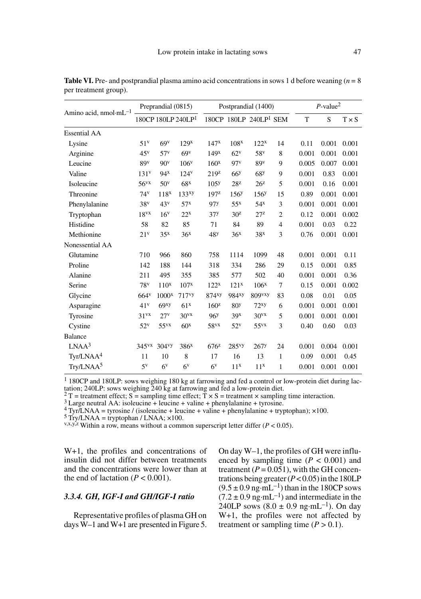|                                     |                                | Preprandial (0815) |                   | Postprandial (1400) |                   |                          |                | $P$ -value <sup>2</sup> |       |              |  |
|-------------------------------------|--------------------------------|--------------------|-------------------|---------------------|-------------------|--------------------------|----------------|-------------------------|-------|--------------|--|
| Amino acid, nmol $\cdot$ mL $^{-1}$ | 180CP 180LP 240LP <sup>1</sup> |                    |                   |                     |                   | 180CP 180LP $240LP1$ SEM |                | T                       | S     | $T \times S$ |  |
| <b>Essential AA</b>                 |                                |                    |                   |                     |                   |                          |                |                         |       |              |  |
| Lysine                              | 51 <sup>v</sup>                | 69v                | 129 <sup>x</sup>  | 147 <sup>x</sup>    | 108 <sup>x</sup>  | 122 <sup>x</sup>         | 14             | 0.11                    | 0.001 | 0.001        |  |
| Arginine                            | $45^v$                         | $57^{\rm v}$       | 69 <sup>v</sup>   | 149 <sup>x</sup>    | 62 <sup>v</sup>   | 58 <sup>v</sup>          | 8              | 0.001                   | 0.001 | 0.001        |  |
| Leucine                             | 89 <sup>v</sup>                | 90 <sup>v</sup>    | 106 <sup>v</sup>  | 160 <sup>x</sup>    | 97 <sup>v</sup>   | 89 <sup>v</sup>          | 9              | 0.005                   | 0.007 | 0.001        |  |
| Valine                              | 131 <sup>v</sup>               | $94^x$             | 124 <sup>v</sup>  | 219z                | 66 <sup>y</sup>   | 68 <sup>y</sup>          | 9              | 0.001                   | 0.83  | 0.001        |  |
| Isoleucine                          | 56 <sup>vx</sup>               | 50 <sup>v</sup>    | 68 <sup>x</sup>   | 105 <sup>y</sup>    | 28z               | 26 <sup>z</sup>          | 5              | 0.001                   | 0.16  | 0.001        |  |
| Threonine                           | 74 <sup>v</sup>                | 118 <sup>x</sup>   | 133xy             | 197z                | 156 <sup>y</sup>  | 156 <sup>y</sup>         | 15             | 0.89                    | 0.001 | 0.001        |  |
| Phenylalanine                       | 38 <sup>v</sup>                | 43 <sup>v</sup>    | 57 <sup>x</sup>   | 97 <sup>y</sup>     | $55^x$            | 54 <sup>x</sup>          | 3              | 0.001                   | 0.001 | 0.001        |  |
| Tryptophan                          | 18 <sup>vx</sup>               | 16 <sup>v</sup>    | $22^x$            | 37 <sup>y</sup>     | 30 <sup>z</sup>   | 27z                      | $\overline{c}$ | 0.12                    | 0.001 | 0.002        |  |
| Histidine                           | 58                             | 82                 | 85                | 71                  | 84                | 89                       | $\overline{4}$ | 0.001                   | 0.03  | 0.22         |  |
| Methionine                          | 21 <sup>v</sup>                | 35 <sup>x</sup>    | 36 <sup>x</sup>   | 48 <sup>y</sup>     | 36 <sup>x</sup>   | 38 <sup>x</sup>          | 3              | 0.76                    | 0.001 | 0.001        |  |
| Nonessential AA                     |                                |                    |                   |                     |                   |                          |                |                         |       |              |  |
| Glutamine                           | 710                            | 966                | 860               | 758                 | 1114              | 1099                     | 48             | 0.001                   | 0.001 | 0.11         |  |
| Proline                             | 142                            | 188                | 144               | 318                 | 334               | 286                      | 29             | 0.15                    | 0.001 | 0.85         |  |
| Alanine                             | 211                            | 495                | 355               | 385                 | 577               | 502                      | 40             | 0.001                   | 0.001 | 0.36         |  |
| Serine                              | 78 <sup>v</sup>                | 110 <sup>x</sup>   | 107 <sup>x</sup>  | 122 <sup>x</sup>    | 121 <sup>x</sup>  | 106 <sup>x</sup>         | 7              | 0.15                    | 0.001 | 0.002        |  |
| Glycine                             | 664v                           | 1000 <sup>x</sup>  | 717 <sup>yy</sup> | 874xy               | 984 <sup>xy</sup> | 809vxy                   | 83             | 0.08                    | 0.01  | 0.05         |  |
| Asparagine                          | 41 <sup>v</sup>                | 69 <sup>xy</sup>   | 61 <sup>x</sup>   | 160 <sup>z</sup>    | 80 <sup>y</sup>   | $72^{xy}$                | 6              | 0.001                   | 0.001 | 0.001        |  |
| Tyrosine                            | 31 <sup>vx</sup>               | 27 <sup>v</sup>    | 30 <sup>vx</sup>  | 96 <sup>y</sup>     | 39 <sup>x</sup>   | 30 <sup>vx</sup>         | 5              | 0.001                   | 0.001 | 0.001        |  |
| Cystine                             | 52 <sup>v</sup>                | 55yx               | 60 <sup>x</sup>   | 58 <sub>vx</sub>    | 52 <sup>v</sup>   | 55 <sup>vx</sup>         | 3              | 0.40                    | 0.60  | 0.03         |  |
| <b>Balance</b>                      |                                |                    |                   |                     |                   |                          |                |                         |       |              |  |
| LNAA <sup>3</sup>                   | 345 <sup>vx</sup>              | 304 <sup>vy</sup>  | 386 <sup>x</sup>  | 676z                | 285 <sup>vy</sup> | 267 <sup>y</sup>         | 24             | 0.001                   | 0.004 | 0.001        |  |
| Tyr/LNAA <sup>4</sup>               | 11                             | 10                 | 8                 | 17                  | 16                | 13                       | 1              | 0.09                    | 0.001 | 0.45         |  |
| Try/LNAA5                           | $5^{\rm v}$                    | $6^{\rm v}$        | $6^{\rm v}$       | $6^{\rm v}$         | $11^x$            | $11^x$                   | 1              | 0.001                   | 0.001 | 0.001        |  |

**Table VI.** Pre- and postprandial plasma amino acid concentrations in sows 1 d before weaning  $(n = 8)$ per treatment group).

 $1180CP$  and 180LP: sows weighing 180 kg at farrowing and fed a control or low-protein diet during lactation; 240LP: sows weighing 240 kg at farrowing and fed a low-protein diet.

tation; 240LP: sows weighing 240 kg at farrowing and fed a low-protein diet.<br><sup>2</sup> T = treatment effect; S = sampling time effect; T × S = treatment × sampling time interaction.

 $3$  Large neutral AA: isoleucine + leucine + valine + phenylalanine + tyrosine.

<sup>4</sup> Tyr/LNAA = tyrosine / (isoleucine + leucine + valine + phenylalanine + tryptophan); ×100. 5 Try/LNAA = tryptophan / LNAA; ×100.

<sup>5</sup> Try/LNAA = tryptophan / LNAA;  $\times$ 100.<br><sup>v,x,y,z</sup> Within a row, means without a common superscript letter differ (*P* < 0.05).

W+1, the profiles and concentrations of insulin did not differ between treatments and the concentrations were lower than at the end of lactation  $(P < 0.001)$ .

## *3.3.4. GH, IGF-I and GH/IGF-I ratio*

Representative profiles of plasma GH on days W–1 and W+1 are presented in Figure 5. On day W–1, the profiles of GH were influenced by sampling time  $(P < 0.001)$  and treatment  $(P = 0.051)$ , with the GH concentrations being greater  $(P<0.05)$  in the 180LP  $(9.5 \pm 0.9 \text{ ng} \cdot \text{mL}^{-1})$  than in the 180CP sows  $(7.2 \pm 0.9 \text{ ng} \cdot \text{mL}^{-1})$  and intermediate in the 240LP sows  $(8.0 \pm 0.9 \text{ ng} \cdot \text{mL}^{-1})$ . On day W+1, the profiles were not affected by treatment or sampling time  $(P > 0.1)$ .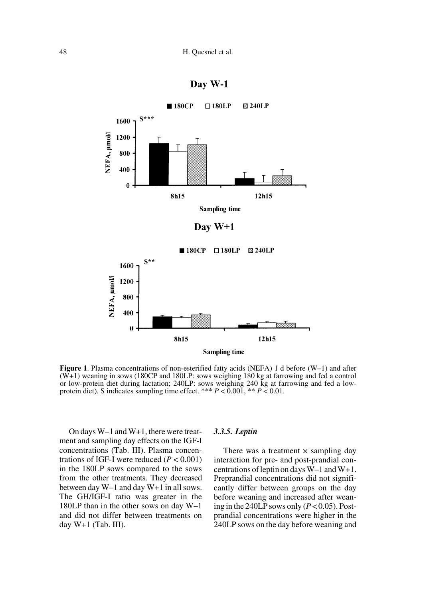



**Figure 1**. Plasma concentrations of non-esterified fatty acids (NEFA) 1 d before (W–1) and after (W+1) weaning in sows (180CP and 180LP: sows weighing 180 kg at farrowing and fed a control or low-protein diet during lactation; 240LP: sows weighing 240 kg at farrowing and fed a lowprotein diet). S indicates sampling time effect. \*\*\* *P* < 0.001, \*\* *P* < 0.01.

On days W–1 and W+1, there were treatment and sampling day effects on the IGF-I concentrations (Tab. III). Plasma concentrations of IGF-I were reduced  $(P < 0.001)$ in the 180LP sows compared to the sows from the other treatments. They decreased between day W–1 and day W+1 in all sows. The GH/IGF-I ratio was greater in the 180LP than in the other sows on day W–1 and did not differ between treatments on day  $W+1$  (Tab. III).

## *3.3.5. Leptin*

There was a treatment  $\times$  sampling day interaction for pre- and post-prandial concentrations of leptin on days W–1 and W+1. Preprandial concentrations did not significantly differ between groups on the day before weaning and increased after weaning in the 240LP sows only  $(P<0.05)$ . Postprandial concentrations were higher in the 240LP sows on the day before weaning and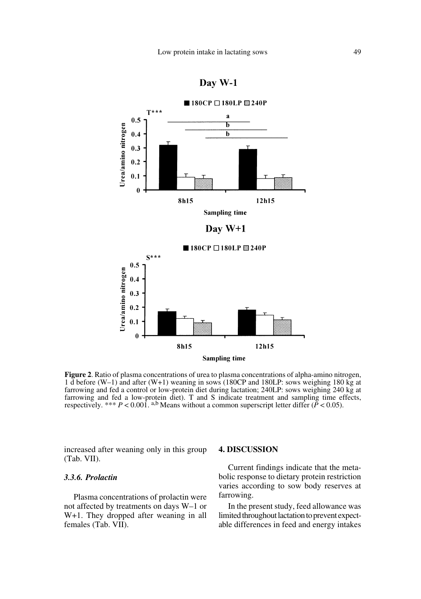Day W-1



**Figure 2**. Ratio of plasma concentrations of urea to plasma concentrations of alpha-amino nitrogen, 1 d before (W–1) and after (W+1) weaning in sows (180CP and 180LP: sows weighing 180 kg at farrowing and fed a control or low-protein diet during lactation; 240LP: sows weighing 240 kg at farrowing and fed a low-protein diet). T and S indicate treatment and sampling time effects, respectively. \*\*\*  $P < 0.001$ . a,b Means without a common superscript letter differ ( $P < 0.05$ ).

increased after weaning only in this group (Tab. VII).

#### *3.3.6. Prolactin*

Plasma concentrations of prolactin were not affected by treatments on days W–1 or W+1. They dropped after weaning in all females (Tab. VII).

## **4. DISCUSSION**

Current findings indicate that the metabolic response to dietary protein restriction varies according to sow body reserves at farrowing.

In the present study, feed allowance was limited throughout lactation to prevent expectable differences in feed and energy intakes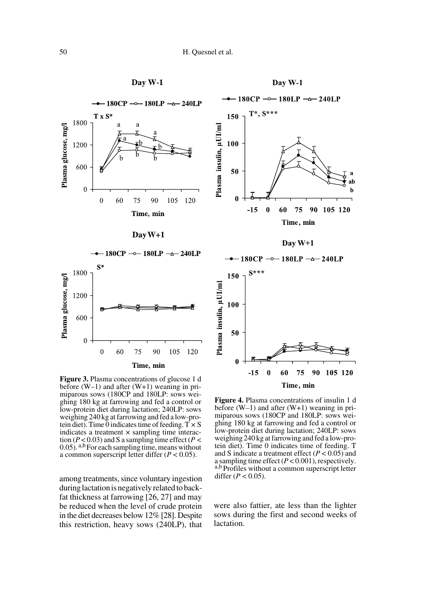

Day W-1

 $Day W+1$ 



**Figure 3.** Plasma concentrations of glucose 1 d before (W–1) and after (W+1) weaning in primiparous sows (180CP and 180LP: sows weighing 180 kg at farrowing and fed a control or low-protein diet during lactation; 240LP: sows weighing 240 kg at farrowing and fed a low-protein diet). Time 0 indicates time of feeding.  $T \times S$ indicates a treatment  $\times$  sampling time interaction ( $P < 0.03$ ) and S a sampling time effect ( $P <$ 0.05). a,b For each sampling time, means without a common superscript letter differ (*P* < 0.05).

among treatments, since voluntary ingestion during lactation is negatively related to backfat thickness at farrowing [26, 27] and may be reduced when the level of crude protein in the diet decreases below 12% [28]. Despite this restriction, heavy sows (240LP), that



**Figure 4.** Plasma concentrations of insulin 1 d before  $(W-1)$  and after  $(W+1)$  weaning in primiparous sows (180CP and 180LP: sows weighing 180 kg at farrowing and fed a control or low-protein diet during lactation; 240LP: sows weighing 240 kg at farrowing and fed a low-protein diet). Time 0 indicates time of feeding. T and S indicate a treatment effect  $(P < 0.05)$  and a sampling time effect  $(P < 0.001)$ , respectively. a,b Profiles without a common superscript letter differ  $(P < 0.05)$ .

were also fattier, ate less than the lighter sows during the first and second weeks of lactation.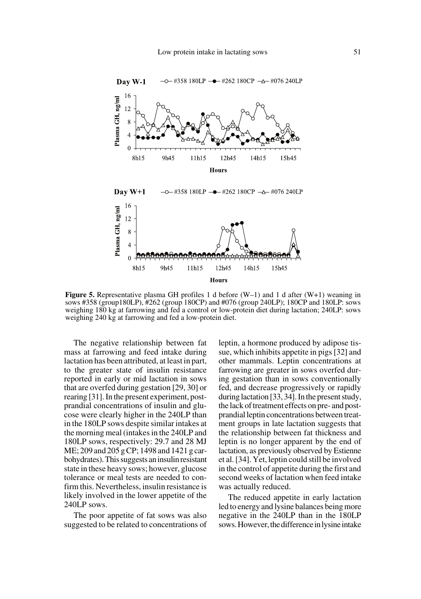

**Figure 5.** Representative plasma GH profiles 1 d before (W–1) and 1 d after (W+1) weaning in sows #358 (group180LP), #262 (group 180CP) and #076 (group 240LP); 180CP and 180LP: sows weighing 180 kg at farrowing and fed a control or low-protein diet during lactation; 240LP: sows weighing 240 kg at farrowing and fed a low-protein diet.

The negative relationship between fat mass at farrowing and feed intake during lactation has been attributed, at least in part, to the greater state of insulin resistance reported in early or mid lactation in sows that are overfed during gestation [29, 30] or rearing [31]. In the present experiment, postprandial concentrations of insulin and glucose were clearly higher in the 240LP than in the 180LP sows despite similar intakes at the morning meal (intakes in the 240LP and 180LP sows, respectively: 29.7 and 28 MJ ME; 209 and 205 g CP; 1498 and 1421 g carbohydrates). This suggests an insulin resistant state in these heavy sows; however, glucose tolerance or meal tests are needed to confirm this. Nevertheless, insulin resistance is likely involved in the lower appetite of the 240LP sows.

The poor appetite of fat sows was also suggested to be related to concentrations of

leptin, a hormone produced by adipose tissue, which inhibits appetite in pigs [32] and other mammals. Leptin concentrations at farrowing are greater in sows overfed during gestation than in sows conventionally fed, and decrease progressively or rapidly during lactation [33, 34]. In the present study, the lack of treatment effects on pre- and postprandial leptin concentrations between treatment groups in late lactation suggests that the relationship between fat thickness and leptin is no longer apparent by the end of lactation, as previously observed by Estienne et al. [34]. Yet, leptin could still be involved in the control of appetite during the first and second weeks of lactation when feed intake was actually reduced.

The reduced appetite in early lactation led to energy and lysine balances being more negative in the 240LP than in the 180LP sows. However, the difference in lysine intake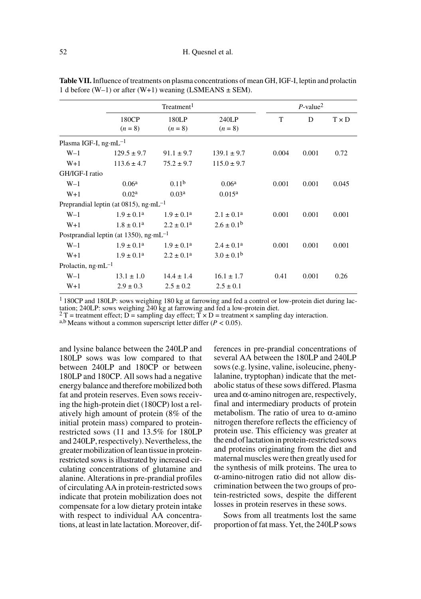|                            |                                             | Treatment <sup>1</sup> |                       | $P$ -value <sup>2</sup> |       |              |
|----------------------------|---------------------------------------------|------------------------|-----------------------|-------------------------|-------|--------------|
|                            | 180CP<br>$(n = 8)$                          | 180LP<br>$(n = 8)$     | 240LP<br>$(n = 8)$    | T                       | D     | $T \times D$ |
| Plasma IGF-I, $ng·mL^{-1}$ |                                             |                        |                       |                         |       |              |
| $W-1$                      | $129.5 \pm 9.7$                             | $91.1 \pm 9.7$         | $139.1 \pm 9.7$       | 0.004                   | 0.001 | 0.72         |
| $W+1$                      | $113.6 \pm 4.7$                             | $75.2 \pm 9.7$         | $115.0 \pm 9.7$       |                         |       |              |
| GH/IGF-I ratio             |                                             |                        |                       |                         |       |              |
| $W-1$                      | 0.06 <sup>a</sup>                           | 0.11 <sup>b</sup>      | 0.06 <sup>a</sup>     | 0.001                   | 0.001 | 0.045        |
| $W+1$                      | 0.02 <sup>a</sup>                           | 0.03 <sup>a</sup>      | $0.015^{\rm a}$       |                         |       |              |
|                            | Preprandial leptin (at 0815), $ng·mL^{-1}$  |                        |                       |                         |       |              |
| $W-1$                      | $1.9 \pm 0.1^a$                             | $1.9 \pm 0.1^a$        | $2.1 \pm 0.1^a$       | 0.001                   | 0.001 | 0.001        |
| $W+1$                      | $1.8 \pm 0.1^a$                             | $2.2 \pm 0.1^a$        | $2.6 \pm 0.1^{\rm b}$ |                         |       |              |
|                            | Postprandial leptin (at 1350), $ng·mL^{-1}$ |                        |                       |                         |       |              |
| $W-1$                      | $1.9 \pm 0.1^{\text{a}}$                    | $1.9 \pm 0.1^a$        | $2.4 \pm 0.1^a$       | 0.001                   | 0.001 | 0.001        |
| $W+1$                      | $1.9 \pm 0.1^a$                             | $2.2 \pm 0.1^a$        | $3.0 \pm 0.1^{\rm b}$ |                         |       |              |
| Prolactin, $ng·mL^{-1}$    |                                             |                        |                       |                         |       |              |
| $W-1$                      | $13.1 \pm 1.0$                              | $14.4 \pm 1.4$         | $16.1 \pm 1.7$        | 0.41                    | 0.001 | 0.26         |
| $W+1$                      | $2.9 \pm 0.3$                               | $2.5 \pm 0.2$          | $2.5 \pm 0.1$         |                         |       |              |

**Table VII.** Influence of treatments on plasma concentrations of mean GH, IGF-I, leptin and prolactin 1 d before (W–1) or after (W+1) weaning (LSMEANS  $\pm$  SEM).

1 180CP and 180LP: sows weighing 180 kg at farrowing and fed a control or low-protein diet during lac-

tation; 240LP: sows weighing 240 kg at farrowing and fed a low-protein diet.<br>
<sup>2</sup> T = treatment effect; D = sampling day effect; T × D = treatment × sampling day interaction.<br>
<sup>a,b</sup> Means without a common superscript lett

and lysine balance between the 240LP and 180LP sows was low compared to that between 240LP and 180CP or between 180LP and 180CP. All sows had a negative energy balance and therefore mobilized both fat and protein reserves. Even sows receiving the high-protein diet (180CP) lost a relatively high amount of protein (8% of the initial protein mass) compared to proteinrestricted sows (11 and 13.5% for 180LP and 240LP, respectively). Nevertheless, the greater mobilization of lean tissue in proteinrestricted sows is illustrated by increased circulating concentrations of glutamine and alanine. Alterations in pre-prandial profiles of circulating AA in protein-restricted sows indicate that protein mobilization does not compensate for a low dietary protein intake with respect to individual AA concentrations, at least in late lactation. Moreover, differences in pre-prandial concentrations of several AA between the 180LP and 240LP sows (e.g. lysine, valine, isoleucine, phenylalanine, tryptophan) indicate that the metabolic status of these sows differed. Plasma urea and α-amino nitrogen are, respectively, final and intermediary products of protein metabolism. The ratio of urea to  $\alpha$ -amino nitrogen therefore reflects the efficiency of protein use. This efficiency was greater at the end of lactation in protein-restricted sows and proteins originating from the diet and maternal muscles were then greatly used for the synthesis of milk proteins. The urea to α-amino-nitrogen ratio did not allow discrimination between the two groups of protein-restricted sows, despite the different losses in protein reserves in these sows.

Sows from all treatments lost the same proportion of fat mass. Yet, the 240LP sows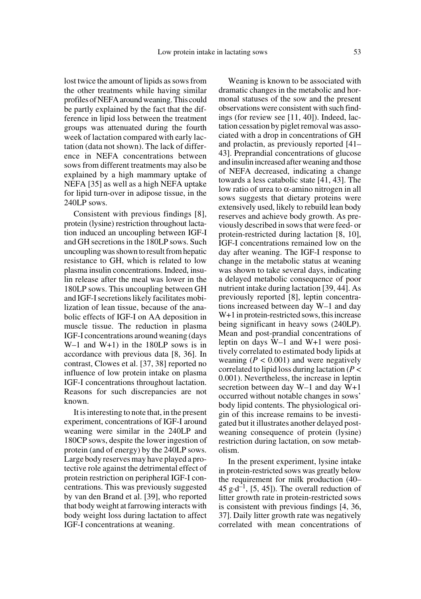lost twice the amount of lipids as sows from the other treatments while having similar profiles of NEFA around weaning. This could be partly explained by the fact that the difference in lipid loss between the treatment groups was attenuated during the fourth week of lactation compared with early lactation (data not shown). The lack of difference in NEFA concentrations between sows from different treatments may also be explained by a high mammary uptake of NEFA [35] as well as a high NEFA uptake for lipid turn-over in adipose tissue, in the 240LP sows.

Consistent with previous findings [8], protein (lysine) restriction throughout lactation induced an uncoupling between IGF-I and GH secretions in the 180LP sows. Such uncoupling was shown to result from hepatic resistance to GH, which is related to low plasma insulin concentrations. Indeed, insulin release after the meal was lower in the 180LP sows. This uncoupling between GH and IGF-I secretions likely facilitates mobilization of lean tissue, because of the anabolic effects of IGF-I on AA deposition in muscle tissue. The reduction in plasma IGF-I concentrations around weaning (days W–1 and W+1) in the 180LP sows is in accordance with previous data [8, 36]. In contrast, Clowes et al. [37, 38] reported no influence of low protein intake on plasma IGF-I concentrations throughout lactation. Reasons for such discrepancies are not known.

It is interesting to note that, in the present experiment, concentrations of IGF-I around weaning were similar in the 240LP and 180CP sows, despite the lower ingestion of protein (and of energy) by the 240LP sows. Large body reserves may have played a protective role against the detrimental effect of protein restriction on peripheral IGF-I concentrations. This was previously suggested by van den Brand et al. [39], who reported that body weight at farrowing interacts with body weight loss during lactation to affect IGF-I concentrations at weaning.

Weaning is known to be associated with dramatic changes in the metabolic and hormonal statuses of the sow and the present observations were consistent with such findings (for review see [11, 40]). Indeed, lactation cessation by piglet removal was associated with a drop in concentrations of GH and prolactin, as previously reported [41– 43]. Preprandial concentrations of glucose and insulin increased after weaning and those of NEFA decreased, indicating a change towards a less catabolic state [41, 43]. The low ratio of urea to  $α$ -amino nitrogen in all sows suggests that dietary proteins were extensively used, likely to rebuild lean body reserves and achieve body growth. As previously described in sows that were feed- or protein-restricted during lactation [8, 10], IGF-I concentrations remained low on the day after weaning. The IGF-I response to change in the metabolic status at weaning was shown to take several days, indicating a delayed metabolic consequence of poor nutrient intake during lactation [39, 44]. As previously reported [8], leptin concentrations increased between day W–1 and day W+1 in protein-restricted sows, this increase being significant in heavy sows (240LP). Mean and post-prandial concentrations of leptin on days W–1 and W+1 were positively correlated to estimated body lipids at weaning  $(P < 0.001)$  and were negatively correlated to lipid loss during lactation (*P* < 0.001). Nevertheless, the increase in leptin secretion between day W–1 and day W+1 occurred without notable changes in sows' body lipid contents. The physiological origin of this increase remains to be investigated but it illustrates another delayed postweaning consequence of protein (lysine) restriction during lactation, on sow metabolism.

In the present experiment, lysine intake in protein-restricted sows was greatly below the requirement for milk production (40– 45 g·d<sup>-1</sup>, [5, 45]). The overall reduction of litter growth rate in protein-restricted sows is consistent with previous findings [4, 36, 37]. Daily litter growth rate was negatively correlated with mean concentrations of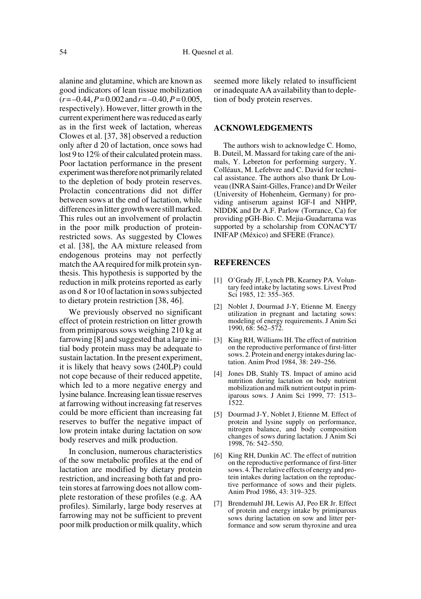alanine and glutamine, which are known as good indicators of lean tissue mobilization  $(r = -0.44, P = 0.002$  and  $r = -0.40, P = 0.005$ , respectively). However, litter growth in the current experiment here was reduced as early as in the first week of lactation, whereas Clowes et al. [37, 38] observed a reduction only after d 20 of lactation, once sows had lost 9 to 12% of their calculated protein mass. Poor lactation performance in the present experiment was therefore not primarily related to the depletion of body protein reserves. Prolactin concentrations did not differ between sows at the end of lactation, while differences in litter growth were still marked. This rules out an involvement of prolactin in the poor milk production of proteinrestricted sows. As suggested by Clowes et al. [38], the AA mixture released from endogenous proteins may not perfectly match the AA required for milk protein synthesis. This hypothesis is supported by the reduction in milk proteins reported as early as on d 8 or 10 of lactation in sows subjected to dietary protein restriction [38, 46].

We previously observed no significant effect of protein restriction on litter growth from primiparous sows weighing 210 kg at farrowing [8] and suggested that a large initial body protein mass may be adequate to sustain lactation. In the present experiment, it is likely that heavy sows (240LP) could not cope because of their reduced appetite, which led to a more negative energy and lysine balance. Increasing lean tissue reserves at farrowing without increasing fat reserves could be more efficient than increasing fat reserves to buffer the negative impact of low protein intake during lactation on sow body reserves and milk production.

In conclusion, numerous characteristics of the sow metabolic profiles at the end of lactation are modified by dietary protein restriction, and increasing both fat and protein stores at farrowing does not allow complete restoration of these profiles (e.g. AA profiles). Similarly, large body reserves at farrowing may not be sufficient to prevent poor milk production or milk quality, which

seemed more likely related to insufficient or inadequate AA availability than to depletion of body protein reserves.

## **ACKNOWLEDGEMENTS**

The authors wish to acknowledge C. Homo, B. Duteil, M. Massard for taking care of the animals, Y. Lebreton for performing surgery, Y. Colléaux, M. Lefebvre and C. David for technical assistance. The authors also thank Dr Louveau (INRA Saint-Gilles, France) and Dr Weiler (University of Hohenheim, Germany) for providing antiserum against IGF-I and NHPP, NIDDK and Dr A.F. Parlow (Torrance, Ca) for providing pGH-Bio. C. Mejia-Guadarrama was supported by a scholarship from CONACYT/ INIFAP (México) and SFERE (France).

#### **REFERENCES**

- [1] O'Grady JF, Lynch PB, Kearney PA. Voluntary feed intake by lactating sows. Livest Prod Sci 1985, 12: 355–365.
- [2] Noblet J, Dourmad J-Y, Etienne M. Energy utilization in pregnant and lactating sows: modeling of energy requirements. J Anim Sci 1990, 68: 562–572.
- [3] King RH, Williams IH. The effect of nutrition on the reproductive performance of first-litter sows. 2. Protein and energy intakes during lactation. Anim Prod 1984, 38: 249–256.
- [4] Jones DB, Stahly TS. Impact of amino acid nutrition during lactation on body nutrient mobilization and milk nutrient output in primiparous sows. J Anim Sci 1999, 77: 1513– 1522.
- [5] Dourmad J-Y, Noblet J, Etienne M. Effect of protein and lysine supply on performance, nitrogen balance, and body composition changes of sows during lactation. J Anim Sci 1998, 76: 542–550.
- [6] King RH, Dunkin AC. The effect of nutrition on the reproductive performance of first-litter sows. 4. The relative effects of energy and protein intakes during lactation on the reproductive performance of sows and their piglets. Anim Prod 1986, 43: 319–325.
- [7] Brendemuhl JH, Lewis AJ, Peo ER Jr. Effect of protein and energy intake by primiparous sows during lactation on sow and litter performance and sow serum thyroxine and urea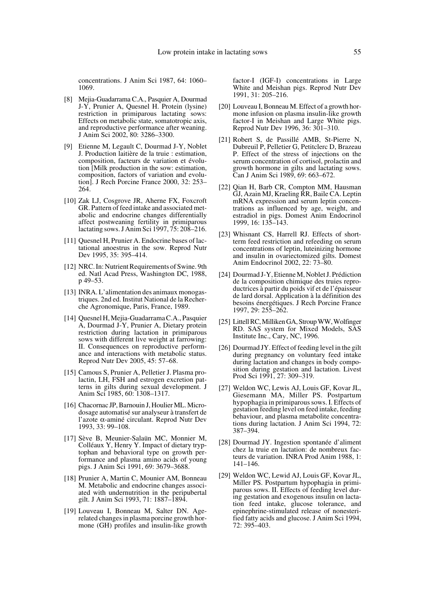concentrations. J Anim Sci 1987, 64: 1060– 1069.

- [8] Mejia-Guadarrama C.A., Pasquier A, Dourmad J-Y, Prunier A, Quesnel H. Protein (lysine) restriction in primiparous lactating sows: Effects on metabolic state, somatotropic axis, and reproductive performance after weaning. J Anim Sci 2002, 80: 3286–3300.
- [9] Etienne M, Legault C, Dourmad J-Y, Noblet J. Production laitière de la truie : estimation, composition, facteurs de variation et évolution [Milk production in the sow: estimation, composition, factors of variation and evolution]. J Rech Porcine France 2000, 32: 253– 264.
- [10] Zak LJ, Cosgrove JR, Aherne FX, Foxcroft GR. Pattern of feed intake and associated metabolic and endocrine changes differentially affect postweaning fertility in primiparous lactating sows. J Anim Sci 1997, 75: 208–216.
- [11] Quesnel H, Prunier A. Endocrine bases of lactational anoestrus in the sow. Reprod Nutr Dev 1995, 35: 395–414.
- [12] NRC. In: Nutrient Requirements of Swine. 9th ed. Natl Acad Press, Washington DC, 1988, p 49–53.
- [13] INRA. L'alimentation des animaux monogastriques. 2nd ed. Institut National de la Recherche Agronomique, Paris, France, 1989.
- [14] Quesnel H, Mejia-Guadarrama C.A., Pasquier A, Dourmad J-Y, Prunier A, Dietary protein restriction during lactation in primiparous sows with different live weight at farrowing: II. Consequences on reproductive performance and interactions with metabolic status. Reprod Nutr Dev 2005, 45: 57–68.
- [15] Camous S, Prunier A, Pelletier J. Plasma prolactin, LH, FSH and estrogen excretion patterns in gilts during sexual development. J Anim Sci 1985, 60: 1308–1317.
- [16] Chacornac JP, Barnouin J, Houlier ML, Microdosage automatisé sur analyseur à transfert de l'azote α-aminé circulant. Reprod Nutr Dev 1993, 33: 99–108.
- [17] Sève B, Meunier-Salaün MC, Monnier M, Colléaux Y, Henry Y. Impact of dietary tryptophan and behavioral type on growth performance and plasma amino acids of young pigs. J Anim Sci 1991, 69: 3679–3688.
- [18] Prunier A, Martin C, Mounier AM, Bonneau M. Metabolic and endocrine changes associated with undernutrition in the peripubertal gilt. J Anim Sci 1993, 71: 1887–1894.
- [19] Louveau I, Bonneau M, Salter DN. Agerelated changes in plasma porcine growth hormone (GH) profiles and insulin-like growth

factor-I (IGF-I) concentrations in Large White and Meishan pigs. Reprod Nutr Dev 1991, 31: 205–216.

- [20] Louveau I, Bonneau M. Effect of a growth hormone infusion on plasma insulin-like growth factor-I in Meishan and Large White pigs. Reprod Nutr Dev 1996, 36: 301–310.
- [21] Robert S, de Passillé AMB, St-Pierre N, Dubreuil P, Pelletier G, Petitclerc D, Brazeau P. Effect of the stress of injections on the serum concentration of cortisol, prolactin and growth hormone in gilts and lactating sows. Can J Anim Sci 1989, 69: 663–672.
- [22] Qian H, Barb CR, Compton MM, Hausman GJ, Azain MJ, Kraeling RR, Baile CA. Leptin mRNA expression and serum leptin concentrations as influenced by age, weight, and estradiol in pigs. Domest Anim Endocrinol 1999, 16: 135–143.
- [23] Whisnant CS, Harrell RJ. Effects of shortterm feed restriction and refeeding on serum concentrations of leptin, luteinizing hormone and insulin in ovariectomized gilts. Domest Anim Endocrinol 2002, 22: 73–80.
- [24] Dourmad J-Y, Etienne M, Noblet J. Prédiction de la composition chimique des truies reproductrices à partir du poids vif et de l'épaisseur de lard dorsal. Application à la définition des besoins énergétiques. J Rech Porcine France 1997, 29: 255–262.
- [25] Littell RC, Milliken GA, Stroup WW, Wolfinger RD. SAS system for Mixed Models, SAS Institute Inc., Cary, NC, 1996.
- [26] Dourmad JY. Effect of feeding level in the gilt during pregnancy on voluntary feed intake during lactation and changes in body composition during gestation and lactation. Livest Prod Sci 1991, 27: 309–319.
- [27] Weldon WC, Lewis AJ, Louis GF, Kovar JL, Giesemann MA, Miller PS. Postpartum hypophagia in primiparous sows. I. Effects of gestation feeding level on feed intake, feeding behaviour, and plasma metabolite concentrations during lactation. J Anim Sci 1994, 72: 387–394.
- [28] Dourmad JY. Ingestion spontanée d'aliment chez la truie en lactation: de nombreux facteurs de variation. INRA Prod Anim 1988, 1: 141–146.
- [29] Weldon WC, Lewid AJ, Louis GF, Kovar JL, Miller PS. Postpartum hypophagia in primiparous sows. II. Effects of feeding level during gestation and exogenous insulin on lactation feed intake, glucose tolerance, and epinephrine-stimulated release of nonesterified fatty acids and glucose. J Anim Sci 1994, 72: 395–403.